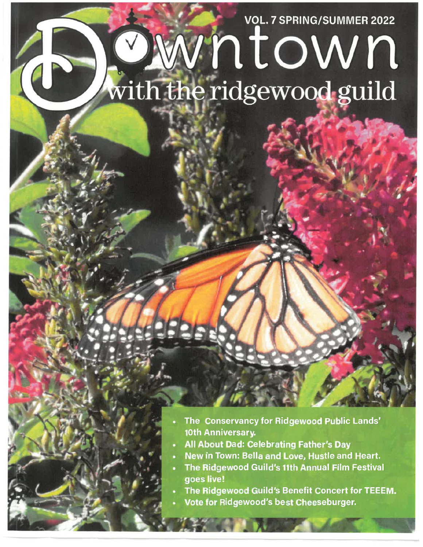# **VOL. 7 SPRING/SUMMER 2022** vntown with the ridgewood guild

- The Conservancy for Ridgewood Public Lands' 10th Anniversary.
- **All About Dad: Celebrating Father's Day**
- New in Town: Bella and Love, Hustle and Heart.
- The Ridgewood Guild's 11th Annual Film Festival goes live!
- The Ridgewood Guild's Benefit Concert for TEEEM.
- Vote for Ridgewood's best Cheeseburger.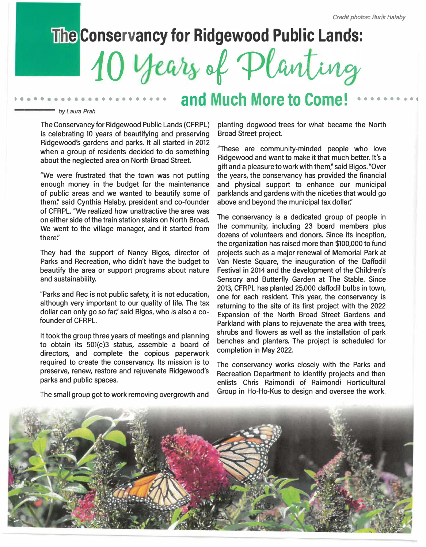## **The Conservancy for Ridgewood Public Lands:**

10 years of Planting

## and Much More to Come!

#### by Laura Prah

The Conservancy for Ridgewood Public Lands (CFRPL) is celebrating 10 years of beautifying and preserving Ridgewood's gardens and parks. It all started in 2012 when a group of residents decided to do something about the neglected area on North Broad Street.

"We were frustrated that the town was not putting enough money in the budget for the maintenance of public areas and we wanted to beautify some of them;' said Cynthia Halaby, president and co-founder of CFRPL. "We realized how unattractive the area was on either side of the train station stairs on North Broad. We went to the village manager, and it started from *there:'* 

They had the support of Nancy Bigos, director of Parks and Recreation, who didn't have the budget to beautify the area or support programs about nature and sustainability.

"Parks and Rec is not public safety, it is not education, although very important to our quality of life. The tax dollar can only go so far;' said Bigos, who is also a cofounder of CFRPL

It took the group three years of meetings and planning to obtain its 501(c)3 status, assemble a board of directors, and complete the copious paperwork required to create the conservancy. Its mission is to preserve, renew, restore and rejuvenate Ridgewood's parks and public spaces.

planting dogwood trees for what became the North Broad Street project.

"These are community-minded people who love Ridgewood and want to make it that much better. It's a gift and a pleasure to work with them;' said Bigos. "Over the years, the conservancy has provided the financial and physical support to enhance our municipal parklands and gardens with the niceties that would go above and beyond the municipal tax dollar."

The conservancy is a dedicated group of people in the community, including 23 board members plus dozens of volunteers and donors. Since its inception, the organization has raised more than \$100,000 to fund projects such as a major renewal of Memorial Park at Van Neste Square, the inauguration of the Daffodil Festival in 2014 and the development of the Children's Sensory and Butterfly Garden at The Stable. Since 2013, CFRPL has planted 25,000 daffodil bulbs in town, one for each resident. This year, the conservancy is returning to the site of its first project with the 2022 Expansion of the North Broad Street Gardens and Parkland with plans to rejuvenate the area with trees, shrubs and flowers as well as the installation of park benches and planters. The project is scheduled for completion in May 2022.

The conservancy works closely with the Parks and Recreation Department to identify projects and then enlists Chris Raimondi of Raimondi Horticultural Group in Ho-Ho-Kus to design and oversee the work.



The small group got to work removing overgrowth and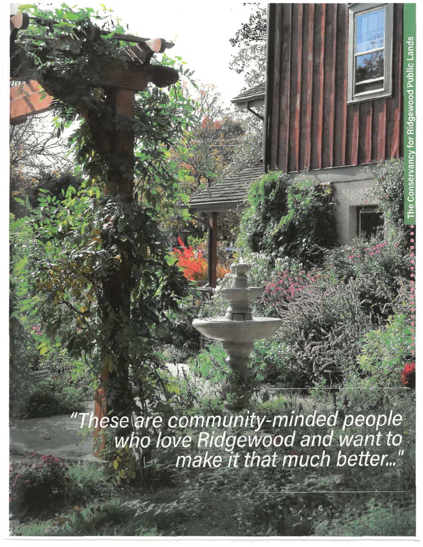"These are community-minded people"<br>who love Ridgewood and want to<br>"make it that much better..."